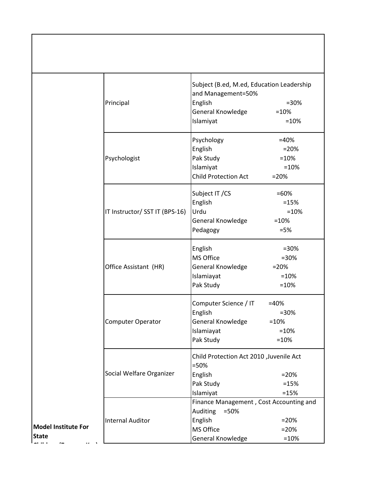|                                     | Principal                      | Subject (B.ed, M.ed, Education Leadership<br>and Management=50%<br>English<br>General Knowledge<br>Islamiyat | $= 30%$<br>$=10%$<br>$=10%$                       |
|-------------------------------------|--------------------------------|--------------------------------------------------------------------------------------------------------------|---------------------------------------------------|
|                                     | Psychologist                   | Psychology<br>English<br>Pak Study<br>Islamiyat<br><b>Child Protection Act</b>                               | $=40%$<br>$= 20%$<br>$=10%$<br>$=10%$<br>$= 20%$  |
|                                     | IT Instructor/ SST IT (BPS-16) | Subject IT / CS<br>English<br>Urdu<br>General Knowledge<br>Pedagogy                                          | $=60%$<br>$=15%$<br>$=10%$<br>$=10%$<br>$= 5%$    |
|                                     | Office Assistant (HR)          | English<br>MS Office<br>General Knowledge<br>Islamiayat<br>Pak Study                                         | $= 30%$<br>$= 30%$<br>$= 20%$<br>$=10%$<br>$=10%$ |
|                                     | Computer Operator              | Computer Science / IT<br>English<br>General Knowledge<br>Islamiayat<br>Pak Study                             | $=40%$<br>$=30%$<br>$=10%$<br>$=10%$<br>$=10%$    |
|                                     | Social Welfare Organizer       | Child Protection Act 2010 , Juvenile Act<br>$=50%$<br>English<br>Pak Study<br>Islamiyat                      | $= 20%$<br>$=15%$<br>$=15%$                       |
| <b>Model Institute For</b><br>State | <b>Internal Auditor</b>        | Finance Management, Cost Accounting and<br>Auditing<br>$=50%$<br>English<br>MS Office<br>General Knowledge   | $= 20%$<br>$= 20%$<br>$=10%$                      |